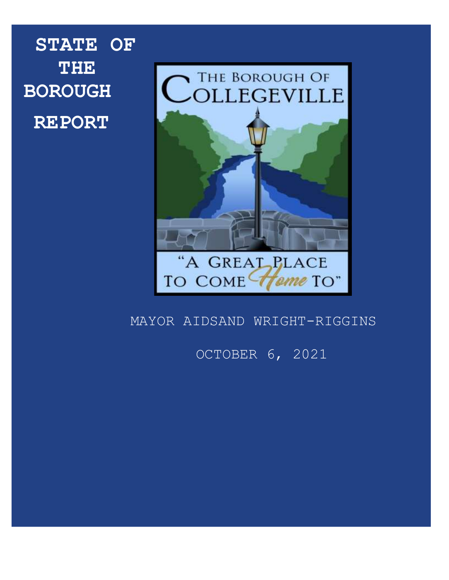**STATE OF THE BOROUGH REPORT**



# MAYOR AIDSAND WRIGHT-RIGGINS

# OCTOBER 6, 2021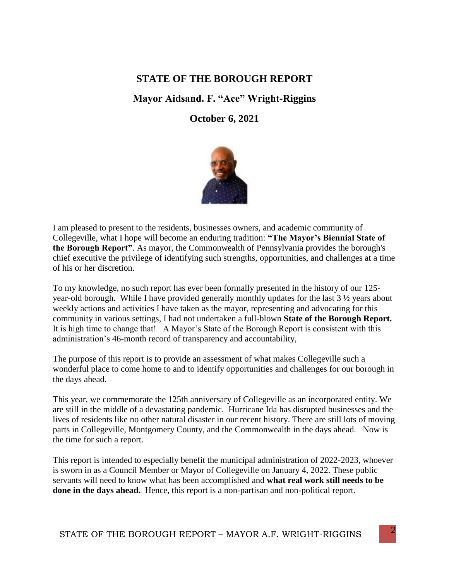# **STATE OF THE BOROUGH REPORT**

# **Mayor Aidsand. F. "Ace" Wright-Riggins**

### **October 6, 2021**



I am pleased to present to the residents, businesses owners, and academic community of Collegeville, what I hope will become an enduring tradition: **"The Mayor's Biennial State of the Borough Report"**. As mayor, the Commonwealth of Pennsylvania provides the borough's chief executive the privilege of identifying such strengths, opportunities, and challenges at a time of his or her discretion.

To my knowledge, no such report has ever been formally presented in the history of our 125 year-old borough. While I have provided generally monthly updates for the last 3 ½ years about weekly actions and activities I have taken as the mayor, representing and advocating for this community in various settings, I had not undertaken a full-blown **State of the Borough Report.** It is high time to change that! A Mayor's State of the Borough Report is consistent with this administration's 46-month record of transparency and accountability,

The purpose of this report is to provide an assessment of what makes Collegeville such a wonderful place to come home to and to identify opportunities and challenges for our borough in the days ahead.

This year, we commemorate the 125th anniversary of Collegeville as an incorporated entity. We are still in the middle of a devastating pandemic. Hurricane Ida has disrupted businesses and the lives of residents like no other natural disaster in our recent history. There are still lots of moving parts in Collegeville, Montgomery County, and the Commonwealth in the days ahead. Now is the time for such a report.

This report is intended to especially benefit the municipal administration of 2022-2023, whoever is sworn in as a Council Member or Mayor of Collegeville on January 4, 2022. These public servants will need to know what has been accomplished and **what real work still needs to be done in the days ahead.** Hence, this report is a non-partisan and non-political report.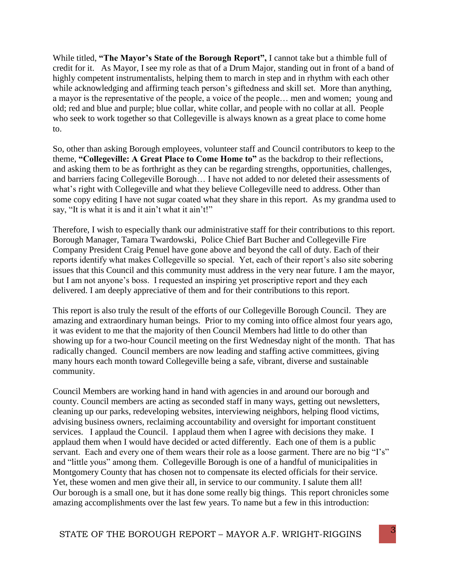While titled, **"The Mayor's State of the Borough Report",** I cannot take but a thimble full of credit for it. As Mayor, I see my role as that of a Drum Major, standing out in front of a band of highly competent instrumentalists, helping them to march in step and in rhythm with each other while acknowledging and affirming teach person's giftedness and skill set. More than anything, a mayor is the representative of the people, a voice of the people… men and women; young and old; red and blue and purple; blue collar, white collar, and people with no collar at all. People who seek to work together so that Collegeville is always known as a great place to come home to.

So, other than asking Borough employees, volunteer staff and Council contributors to keep to the theme, **"Collegeville: A Great Place to Come Home to"** as the backdrop to their reflections, and asking them to be as forthright as they can be regarding strengths, opportunities, challenges, and barriers facing Collegeville Borough… I have not added to nor deleted their assessments of what's right with Collegeville and what they believe Collegeville need to address. Other than some copy editing I have not sugar coated what they share in this report. As my grandma used to say, "It is what it is and it ain't what it ain't!"

Therefore, I wish to especially thank our administrative staff for their contributions to this report. Borough Manager, Tamara Twardowski, Police Chief Bart Bucher and Collegeville Fire Company President Craig Penuel have gone above and beyond the call of duty. Each of their reports identify what makes Collegeville so special. Yet, each of their report's also site sobering issues that this Council and this community must address in the very near future. I am the mayor, but I am not anyone's boss. I requested an inspiring yet proscriptive report and they each delivered. I am deeply appreciative of them and for their contributions to this report.

This report is also truly the result of the efforts of our Collegeville Borough Council. They are amazing and extraordinary human beings. Prior to my coming into office almost four years ago, it was evident to me that the majority of then Council Members had little to do other than showing up for a two-hour Council meeting on the first Wednesday night of the month. That has radically changed. Council members are now leading and staffing active committees, giving many hours each month toward Collegeville being a safe, vibrant, diverse and sustainable community.

Council Members are working hand in hand with agencies in and around our borough and county. Council members are acting as seconded staff in many ways, getting out newsletters, cleaning up our parks, redeveloping websites, interviewing neighbors, helping flood victims, advising business owners, reclaiming accountability and oversight for important constituent services. I applaud the Council. I applaud them when I agree with decisions they make. I applaud them when I would have decided or acted differently. Each one of them is a public servant. Each and every one of them wears their role as a loose garment. There are no big "I's" and "little yous" among them. Collegeville Borough is one of a handful of municipalities in Montgomery County that has chosen not to compensate its elected officials for their service. Yet, these women and men give their all, in service to our community. I salute them all! Our borough is a small one, but it has done some really big things. This report chronicles some amazing accomplishments over the last few years. To name but a few in this introduction: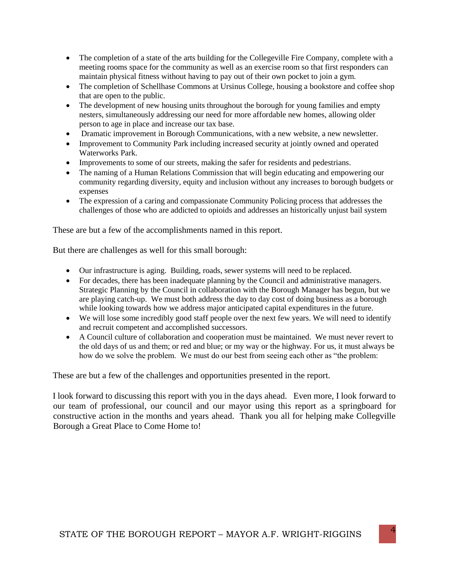- The completion of a state of the arts building for the Collegeville Fire Company, complete with a meeting rooms space for the community as well as an exercise room so that first responders can maintain physical fitness without having to pay out of their own pocket to join a gym.
- The completion of Schellhase Commons at Ursinus College, housing a bookstore and coffee shop that are open to the public.
- The development of new housing units throughout the borough for young families and empty nesters, simultaneously addressing our need for more affordable new homes, allowing older person to age in place and increase our tax base.
- Dramatic improvement in Borough Communications, with a new website, a new newsletter.
- Improvement to Community Park including increased security at jointly owned and operated Waterworks Park.
- Improvements to some of our streets, making the safer for residents and pedestrians.
- The naming of a Human Relations Commission that will begin educating and empowering our community regarding diversity, equity and inclusion without any increases to borough budgets or expenses
- The expression of a caring and compassionate Community Policing process that addresses the challenges of those who are addicted to opioids and addresses an historically unjust bail system

These are but a few of the accomplishments named in this report.

But there are challenges as well for this small borough:

- Our infrastructure is aging. Building, roads, sewer systems will need to be replaced.
- For decades, there has been inadequate planning by the Council and administrative managers. Strategic Planning by the Council in collaboration with the Borough Manager has begun, but we are playing catch-up. We must both address the day to day cost of doing business as a borough while looking towards how we address major anticipated capital expenditures in the future.
- We will lose some incredibly good staff people over the next few years. We will need to identify and recruit competent and accomplished successors.
- A Council culture of collaboration and cooperation must be maintained. We must never revert to the old days of us and them; or red and blue; or my way or the highway. For us, it must always be how do we solve the problem. We must do our best from seeing each other as "the problem:

These are but a few of the challenges and opportunities presented in the report.

I look forward to discussing this report with you in the days ahead. Even more, I look forward to our team of professional, our council and our mayor using this report as a springboard for constructive action in the months and years ahead. Thank you all for helping make Collegville Borough a Great Place to Come Home to!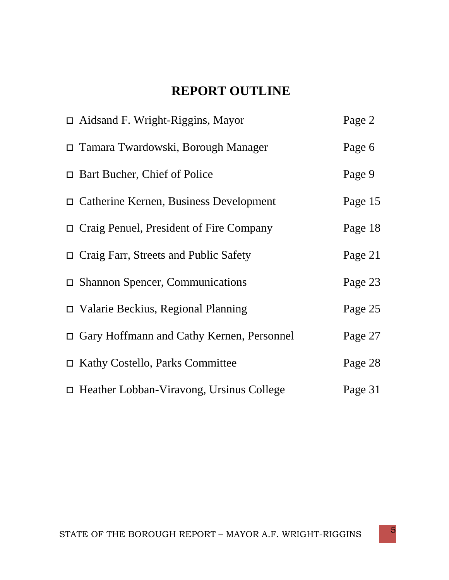# **REPORT OUTLINE**

| $\Box$ Aidsand F. Wright-Riggins, Mayor         | Page 2  |
|-------------------------------------------------|---------|
| $\Box$ Tamara Twardowski, Borough Manager       | Page 6  |
| $\Box$ Bart Bucher, Chief of Police             | Page 9  |
| $\Box$ Catherine Kernen, Business Development   | Page 15 |
| $\Box$ Craig Penuel, President of Fire Company  | Page 18 |
| $\Box$ Craig Farr, Streets and Public Safety    | Page 21 |
| $\Box$ Shannon Spencer, Communications          | Page 23 |
| $\Box$ Valarie Beckius, Regional Planning       | Page 25 |
| □ Gary Hoffmann and Cathy Kernen, Personnel     | Page 27 |
| $\Box$ Kathy Costello, Parks Committee          | Page 28 |
| $\Box$ Heather Lobban-Viravong, Ursinus College | Page 31 |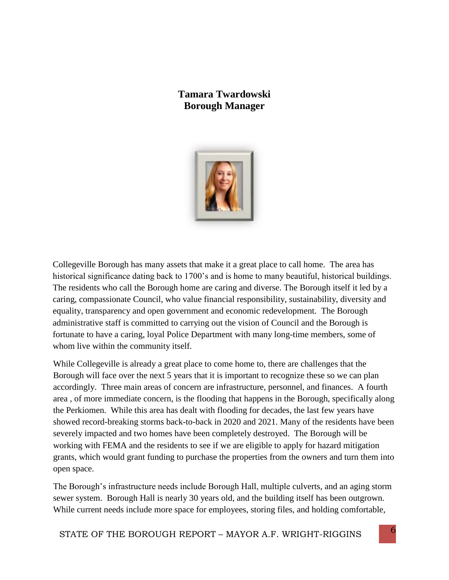# **Tamara Twardowski Borough Manager**



Collegeville Borough has many assets that make it a great place to call home. The area has historical significance dating back to 1700's and is home to many beautiful, historical buildings. The residents who call the Borough home are caring and diverse. The Borough itself it led by a caring, compassionate Council, who value financial responsibility, sustainability, diversity and equality, transparency and open government and economic redevelopment. The Borough administrative staff is committed to carrying out the vision of Council and the Borough is fortunate to have a caring, loyal Police Department with many long-time members, some of whom live within the community itself.

While Collegeville is already a great place to come home to, there are challenges that the Borough will face over the next 5 years that it is important to recognize these so we can plan accordingly. Three main areas of concern are infrastructure, personnel, and finances. A fourth area , of more immediate concern, is the flooding that happens in the Borough, specifically along the Perkiomen. While this area has dealt with flooding for decades, the last few years have showed record-breaking storms back-to-back in 2020 and 2021. Many of the residents have been severely impacted and two homes have been completely destroyed. The Borough will be working with FEMA and the residents to see if we are eligible to apply for hazard mitigation grants, which would grant funding to purchase the properties from the owners and turn them into open space.

The Borough's infrastructure needs include Borough Hall, multiple culverts, and an aging storm sewer system. Borough Hall is nearly 30 years old, and the building itself has been outgrown. While current needs include more space for employees, storing files, and holding comfortable,

STATE OF THE BOROUGH REPORT – MAYOR A.F. WRIGHT-RIGGINS 6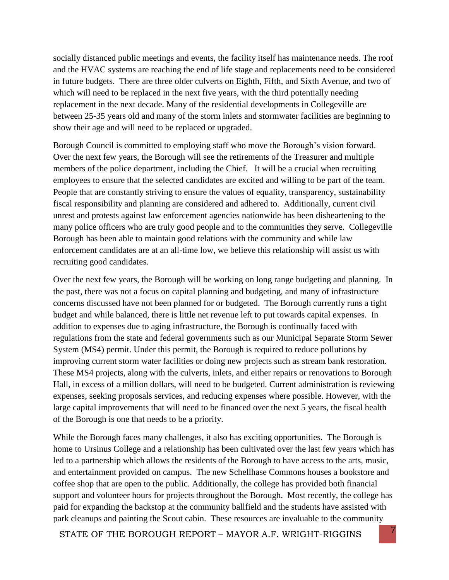socially distanced public meetings and events, the facility itself has maintenance needs. The roof and the HVAC systems are reaching the end of life stage and replacements need to be considered in future budgets. There are three older culverts on Eighth, Fifth, and Sixth Avenue, and two of which will need to be replaced in the next five years, with the third potentially needing replacement in the next decade. Many of the residential developments in Collegeville are between 25-35 years old and many of the storm inlets and stormwater facilities are beginning to show their age and will need to be replaced or upgraded.

Borough Council is committed to employing staff who move the Borough's vision forward. Over the next few years, the Borough will see the retirements of the Treasurer and multiple members of the police department, including the Chief. It will be a crucial when recruiting employees to ensure that the selected candidates are excited and willing to be part of the team. People that are constantly striving to ensure the values of equality, transparency, sustainability fiscal responsibility and planning are considered and adhered to. Additionally, current civil unrest and protests against law enforcement agencies nationwide has been disheartening to the many police officers who are truly good people and to the communities they serve. Collegeville Borough has been able to maintain good relations with the community and while law enforcement candidates are at an all-time low, we believe this relationship will assist us with recruiting good candidates.

Over the next few years, the Borough will be working on long range budgeting and planning. In the past, there was not a focus on capital planning and budgeting, and many of infrastructure concerns discussed have not been planned for or budgeted. The Borough currently runs a tight budget and while balanced, there is little net revenue left to put towards capital expenses. In addition to expenses due to aging infrastructure, the Borough is continually faced with regulations from the state and federal governments such as our Municipal Separate Storm Sewer System (MS4) permit. Under this permit, the Borough is required to reduce pollutions by improving current storm water facilities or doing new projects such as stream bank restoration. These MS4 projects, along with the culverts, inlets, and either repairs or renovations to Borough Hall, in excess of a million dollars, will need to be budgeted. Current administration is reviewing expenses, seeking proposals services, and reducing expenses where possible. However, with the large capital improvements that will need to be financed over the next 5 years, the fiscal health of the Borough is one that needs to be a priority.

While the Borough faces many challenges, it also has exciting opportunities. The Borough is home to Ursinus College and a relationship has been cultivated over the last few years which has led to a partnership which allows the residents of the Borough to have access to the arts, music, and entertainment provided on campus. The new Schellhase Commons houses a bookstore and coffee shop that are open to the public. Additionally, the college has provided both financial support and volunteer hours for projects throughout the Borough. Most recently, the college has paid for expanding the backstop at the community ballfield and the students have assisted with park cleanups and painting the Scout cabin. These resources are invaluable to the community

STATE OF THE BOROUGH REPORT – MAYOR A.F. WRIGHT-RIGGINS 7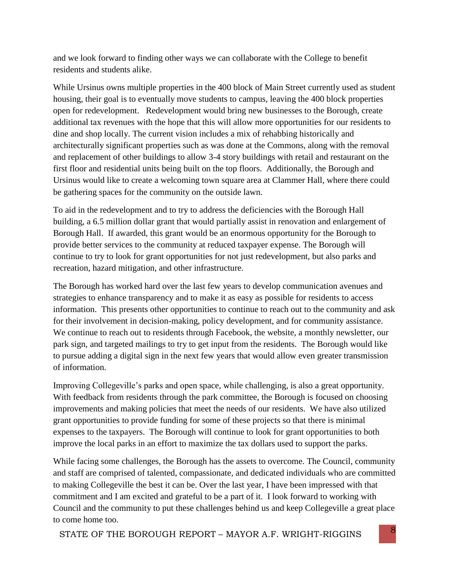and we look forward to finding other ways we can collaborate with the College to benefit residents and students alike.

While Ursinus owns multiple properties in the 400 block of Main Street currently used as student housing, their goal is to eventually move students to campus, leaving the 400 block properties open for redevelopment. Redevelopment would bring new businesses to the Borough, create additional tax revenues with the hope that this will allow more opportunities for our residents to dine and shop locally. The current vision includes a mix of rehabbing historically and architecturally significant properties such as was done at the Commons, along with the removal and replacement of other buildings to allow 3-4 story buildings with retail and restaurant on the first floor and residential units being built on the top floors. Additionally, the Borough and Ursinus would like to create a welcoming town square area at Clammer Hall, where there could be gathering spaces for the community on the outside lawn.

To aid in the redevelopment and to try to address the deficiencies with the Borough Hall building, a 6.5 million dollar grant that would partially assist in renovation and enlargement of Borough Hall. If awarded, this grant would be an enormous opportunity for the Borough to provide better services to the community at reduced taxpayer expense. The Borough will continue to try to look for grant opportunities for not just redevelopment, but also parks and recreation, hazard mitigation, and other infrastructure.

The Borough has worked hard over the last few years to develop communication avenues and strategies to enhance transparency and to make it as easy as possible for residents to access information. This presents other opportunities to continue to reach out to the community and ask for their involvement in decision-making, policy development, and for community assistance. We continue to reach out to residents through Facebook, the website, a monthly newsletter, our park sign, and targeted mailings to try to get input from the residents. The Borough would like to pursue adding a digital sign in the next few years that would allow even greater transmission of information.

Improving Collegeville's parks and open space, while challenging, is also a great opportunity. With feedback from residents through the park committee, the Borough is focused on choosing improvements and making policies that meet the needs of our residents. We have also utilized grant opportunities to provide funding for some of these projects so that there is minimal expenses to the taxpayers. The Borough will continue to look for grant opportunities to both improve the local parks in an effort to maximize the tax dollars used to support the parks.

While facing some challenges, the Borough has the assets to overcome. The Council, community and staff are comprised of talented, compassionate, and dedicated individuals who are committed to making Collegeville the best it can be. Over the last year, I have been impressed with that commitment and I am excited and grateful to be a part of it. I look forward to working with Council and the community to put these challenges behind us and keep Collegeville a great place to come home too.

STATE OF THE BOROUGH REPORT – MAYOR A.F. WRIGHT-RIGGINS 8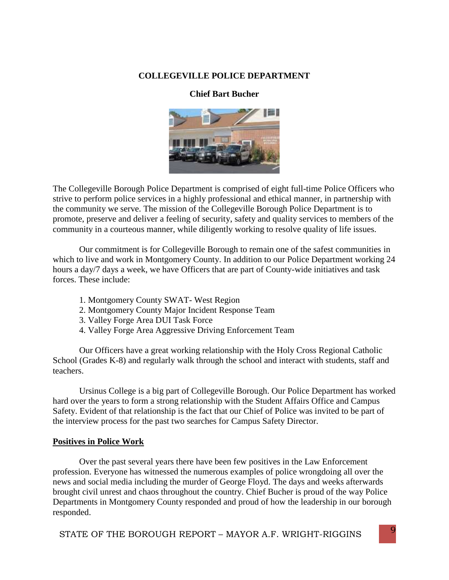#### **COLLEGEVILLE POLICE DEPARTMENT**

#### **Chief Bart Bucher**



The Collegeville Borough Police Department is comprised of eight full-time Police Officers who strive to perform police services in a highly professional and ethical manner, in partnership with the community we serve. The mission of the Collegeville Borough Police Department is to promote, preserve and deliver a feeling of security, safety and quality services to members of the community in a courteous manner, while diligently working to resolve quality of life issues.

Our commitment is for Collegeville Borough to remain one of the safest communities in which to live and work in Montgomery County. In addition to our Police Department working 24 hours a day/7 days a week, we have Officers that are part of County-wide initiatives and task forces. These include:

- 1. Montgomery County SWAT- West Region
- 2. Montgomery County Major Incident Response Team
- 3. Valley Forge Area DUI Task Force
- 4. Valley Forge Area Aggressive Driving Enforcement Team

Our Officers have a great working relationship with the Holy Cross Regional Catholic School (Grades K-8) and regularly walk through the school and interact with students, staff and teachers.

Ursinus College is a big part of Collegeville Borough. Our Police Department has worked hard over the years to form a strong relationship with the Student Affairs Office and Campus Safety. Evident of that relationship is the fact that our Chief of Police was invited to be part of the interview process for the past two searches for Campus Safety Director.

#### **Positives in Police Work**

Over the past several years there have been few positives in the Law Enforcement profession. Everyone has witnessed the numerous examples of police wrongdoing all over the news and social media including the murder of George Floyd. The days and weeks afterwards brought civil unrest and chaos throughout the country. Chief Bucher is proud of the way Police Departments in Montgomery County responded and proud of how the leadership in our borough responded.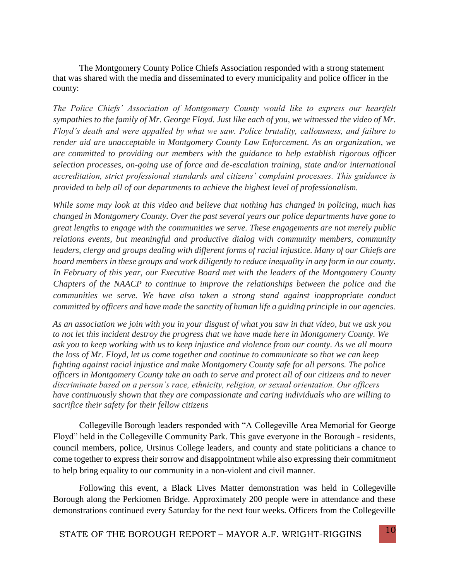The Montgomery County Police Chiefs Association responded with a strong statement that was shared with the media and disseminated to every municipality and police officer in the county:

*The Police Chiefs' Association of Montgomery County would like to express our heartfelt sympathies to the family of Mr. George Floyd. Just like each of you, we witnessed the video of Mr. Floyd's death and were appalled by what we saw. Police brutality, callousness, and failure to render aid are unacceptable in Montgomery County Law Enforcement. As an organization, we are committed to providing our members with the guidance to help establish rigorous officer selection processes, on-going use of force and de-escalation training, state and/or international accreditation, strict professional standards and citizens' complaint processes. This guidance is provided to help all of our departments to achieve the highest level of professionalism.*

*While some may look at this video and believe that nothing has changed in policing, much has changed in Montgomery County. Over the past several years our police departments have gone to great lengths to engage with the communities we serve. These engagements are not merely public relations events, but meaningful and productive dialog with community members, community leaders, clergy and groups dealing with different forms of racial injustice. Many of our Chiefs are board members in these groups and work diligently to reduce inequality in any form in our county. In February of this year, our Executive Board met with the leaders of the Montgomery County Chapters of the NAACP to continue to improve the relationships between the police and the communities we serve. We have also taken a strong stand against inappropriate conduct committed by officers and have made the sanctity of human life a guiding principle in our agencies.*

*As an association we join with you in your disgust of what you saw in that video, but we ask you to not let this incident destroy the progress that we have made here in Montgomery County. We ask you to keep working with us to keep injustice and violence from our county. As we all mourn the loss of Mr. Floyd, let us come together and continue to communicate so that we can keep fighting against racial injustice and make Montgomery County safe for all persons. The police officers in Montgomery County take an oath to serve and protect all of our citizens and to never discriminate based on a person's race, ethnicity, religion, or sexual orientation. Our officers have continuously shown that they are compassionate and caring individuals who are willing to sacrifice their safety for their fellow citizens*

Collegeville Borough leaders responded with "A Collegeville Area Memorial for George Floyd" held in the Collegeville Community Park. This gave everyone in the Borough - residents, council members, police, Ursinus College leaders, and county and state politicians a chance to come together to express their sorrow and disappointment while also expressing their commitment to help bring equality to our community in a non-violent and civil manner.

Following this event, a Black Lives Matter demonstration was held in Collegeville Borough along the Perkiomen Bridge. Approximately 200 people were in attendance and these demonstrations continued every Saturday for the next four weeks. Officers from the Collegeville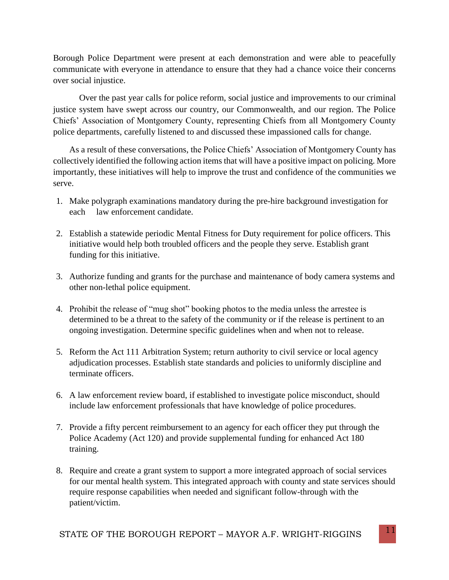Borough Police Department were present at each demonstration and were able to peacefully communicate with everyone in attendance to ensure that they had a chance voice their concerns over social injustice.

Over the past year calls for police reform, social justice and improvements to our criminal justice system have swept across our country, our Commonwealth, and our region. The Police Chiefs' Association of Montgomery County, representing Chiefs from all Montgomery County police departments, carefully listened to and discussed these impassioned calls for change.

As a result of these conversations, the Police Chiefs' Association of Montgomery County has collectively identified the following action items that will have a positive impact on policing. More importantly, these initiatives will help to improve the trust and confidence of the communities we serve.

- 1. Make polygraph examinations mandatory during the pre-hire background investigation for each law enforcement candidate.
- 2. Establish a statewide periodic Mental Fitness for Duty requirement for police officers. This initiative would help both troubled officers and the people they serve. Establish grant funding for this initiative.
- 3. Authorize funding and grants for the purchase and maintenance of body camera systems and other non-lethal police equipment.
- 4. Prohibit the release of "mug shot" booking photos to the media unless the arrestee is determined to be a threat to the safety of the community or if the release is pertinent to an ongoing investigation. Determine specific guidelines when and when not to release.
- 5. Reform the Act 111 Arbitration System; return authority to civil service or local agency adjudication processes. Establish state standards and policies to uniformly discipline and terminate officers.
- 6. A law enforcement review board, if established to investigate police misconduct, should include law enforcement professionals that have knowledge of police procedures.
- 7. Provide a fifty percent reimbursement to an agency for each officer they put through the Police Academy (Act 120) and provide supplemental funding for enhanced Act 180 training.
- 8. Require and create a grant system to support a more integrated approach of social services for our mental health system. This integrated approach with county and state services should require response capabilities when needed and significant follow-through with the patient/victim.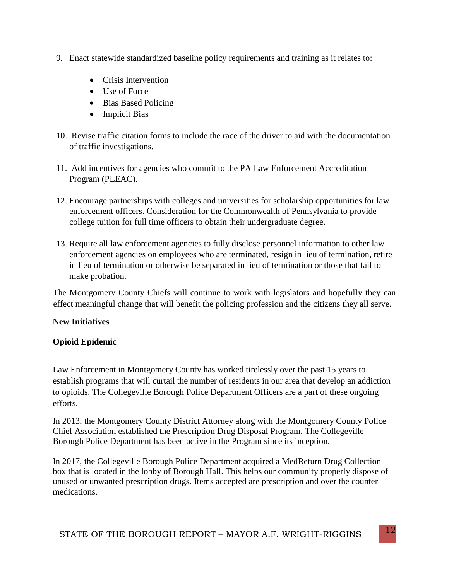- 9. Enact statewide standardized baseline policy requirements and training as it relates to:
	- Crisis Intervention
	- Use of Force
	- Bias Based Policing
	- Implicit Bias
- 10. Revise traffic citation forms to include the race of the driver to aid with the documentation of traffic investigations.
- 11. Add incentives for agencies who commit to the PA Law Enforcement Accreditation Program (PLEAC).
- 12. Encourage partnerships with colleges and universities for scholarship opportunities for law enforcement officers. Consideration for the Commonwealth of Pennsylvania to provide college tuition for full time officers to obtain their undergraduate degree.
- 13. Require all law enforcement agencies to fully disclose personnel information to other law enforcement agencies on employees who are terminated, resign in lieu of termination, retire in lieu of termination or otherwise be separated in lieu of termination or those that fail to make probation.

The Montgomery County Chiefs will continue to work with legislators and hopefully they can effect meaningful change that will benefit the policing profession and the citizens they all serve.

## **New Initiatives**

## **Opioid Epidemic**

Law Enforcement in Montgomery County has worked tirelessly over the past 15 years to establish programs that will curtail the number of residents in our area that develop an addiction to opioids. The Collegeville Borough Police Department Officers are a part of these ongoing efforts.

In 2013, the Montgomery County District Attorney along with the Montgomery County Police Chief Association established the Prescription Drug Disposal Program. The Collegeville Borough Police Department has been active in the Program since its inception.

In 2017, the Collegeville Borough Police Department acquired a MedReturn Drug Collection box that is located in the lobby of Borough Hall. This helps our community properly dispose of unused or unwanted prescription drugs. Items accepted are prescription and over the counter medications.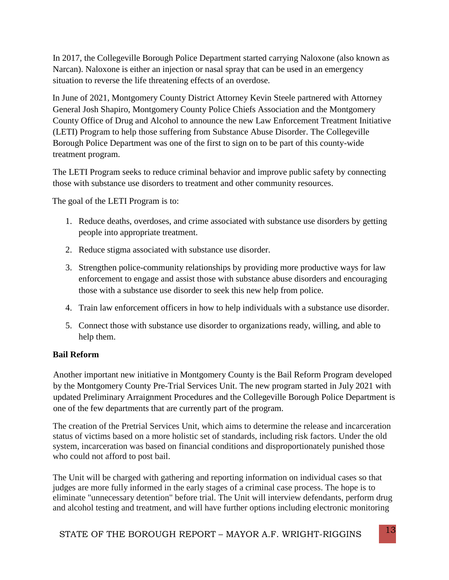In 2017, the Collegeville Borough Police Department started carrying Naloxone (also known as Narcan). Naloxone is either an injection or nasal spray that can be used in an emergency situation to reverse the life threatening effects of an overdose.

In June of 2021, Montgomery County District Attorney Kevin Steele partnered with Attorney General Josh Shapiro, Montgomery County Police Chiefs Association and the Montgomery County Office of Drug and Alcohol to announce the new Law Enforcement Treatment Initiative (LETI) Program to help those suffering from Substance Abuse Disorder. The Collegeville Borough Police Department was one of the first to sign on to be part of this county-wide treatment program.

The LETI Program seeks to reduce criminal behavior and improve public safety by connecting those with substance use disorders to treatment and other community resources.

The goal of the LETI Program is to:

- 1. Reduce deaths, overdoses, and crime associated with substance use disorders by getting people into appropriate treatment.
- 2. Reduce stigma associated with substance use disorder.
- 3. Strengthen police-community relationships by providing more productive ways for law enforcement to engage and assist those with substance abuse disorders and encouraging those with a substance use disorder to seek this new help from police.
- 4. Train law enforcement officers in how to help individuals with a substance use disorder.
- 5. Connect those with substance use disorder to organizations ready, willing, and able to help them.

#### **Bail Reform**

Another important new initiative in Montgomery County is the Bail Reform Program developed by the Montgomery County Pre-Trial Services Unit. The new program started in July 2021 with updated Preliminary Arraignment Procedures and the Collegeville Borough Police Department is one of the few departments that are currently part of the program.

The creation of the Pretrial Services Unit, which aims to determine the release and incarceration status of victims based on a more holistic set of standards, including risk factors. Under the old system, incarceration was based on financial conditions and disproportionately punished those who could not afford to post bail.

The Unit will be charged with gathering and reporting information on individual cases so that judges are more fully informed in the early stages of a criminal case process. The hope is to eliminate "unnecessary detention" before trial. The Unit will interview defendants, perform drug and alcohol testing and treatment, and will have further options including electronic monitoring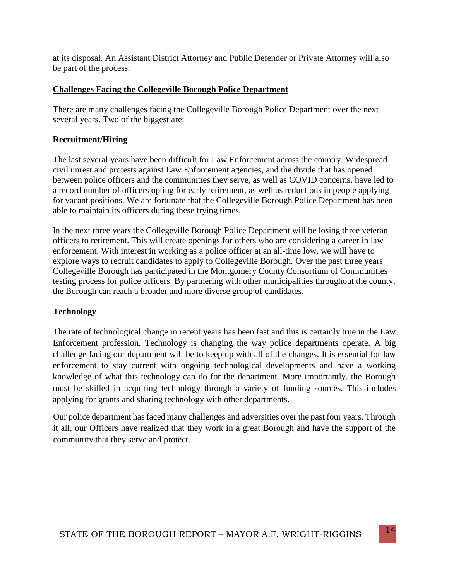at its disposal. An Assistant District Attorney and Public Defender or Private Attorney will also be part of the process.

#### **Challenges Facing the Collegeville Borough Police Department**

There are many challenges facing the Collegeville Borough Police Department over the next several years. Two of the biggest are:

#### **Recruitment/Hiring**

The last several years have been difficult for Law Enforcement across the country. Widespread civil unrest and protests against Law Enforcement agencies, and the divide that has opened between police officers and the communities they serve, as well as COVID concerns, have led to a record number of officers opting for early retirement, as well as reductions in people applying for vacant positions. We are fortunate that the Collegeville Borough Police Department has been able to maintain its officers during these trying times.

In the next three years the Collegeville Borough Police Department will be losing three veteran officers to retirement. This will create openings for others who are considering a career in law enforcement. With interest in working as a police officer at an all-time low, we will have to explore ways to recruit candidates to apply to Collegeville Borough. Over the past three years Collegeville Borough has participated in the Montgomery County Consortium of Communities testing process for police officers. By partnering with other municipalities throughout the county, the Borough can reach a broader and more diverse group of candidates.

#### **Technology**

The rate of technological change in recent years has been fast and this is certainly true in the Law Enforcement profession. Technology is changing the way police departments operate. A big challenge facing our department will be to keep up with all of the changes. It is essential for law enforcement to stay current with ongoing technological developments and have a working knowledge of what this technology can do for the department. More importantly, the Borough must be skilled in acquiring technology through a variety of funding sources. This includes applying for grants and sharing technology with other departments.

Our police department has faced many challenges and adversities over the past four years. Through it all, our Officers have realized that they work in a great Borough and have the support of the community that they serve and protect.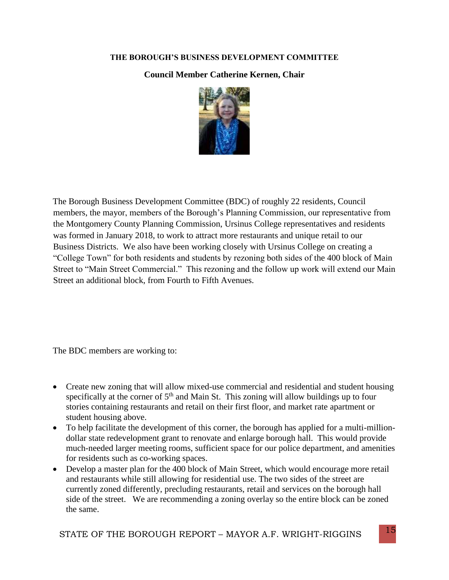#### **THE BOROUGH'S BUSINESS DEVELOPMENT COMMITTEE**

### **Council Member Catherine Kernen, Chair**



The Borough Business Development Committee (BDC) of roughly 22 residents, Council members, the mayor, members of the Borough's Planning Commission, our representative from the Montgomery County Planning Commission, Ursinus College representatives and residents was formed in January 2018, to work to attract more restaurants and unique retail to our Business Districts. We also have been working closely with Ursinus College on creating a "College Town" for both residents and students by rezoning both sides of the 400 block of Main Street to "Main Street Commercial." This rezoning and the follow up work will extend our Main Street an additional block, from Fourth to Fifth Avenues.

The BDC members are working to:

- Create new zoning that will allow mixed-use commercial and residential and student housing specifically at the corner of  $5<sup>th</sup>$  and Main St. This zoning will allow buildings up to four stories containing restaurants and retail on their first floor, and market rate apartment or student housing above.
- To help facilitate the development of this corner, the borough has applied for a multi-milliondollar state redevelopment grant to renovate and enlarge borough hall. This would provide much-needed larger meeting rooms, sufficient space for our police department, and amenities for residents such as co-working spaces.
- Develop a master plan for the 400 block of Main Street, which would encourage more retail and restaurants while still allowing for residential use. The two sides of the street are currently zoned differently, precluding restaurants, retail and services on the borough hall side of the street. We are recommending a zoning overlay so the entire block can be zoned the same.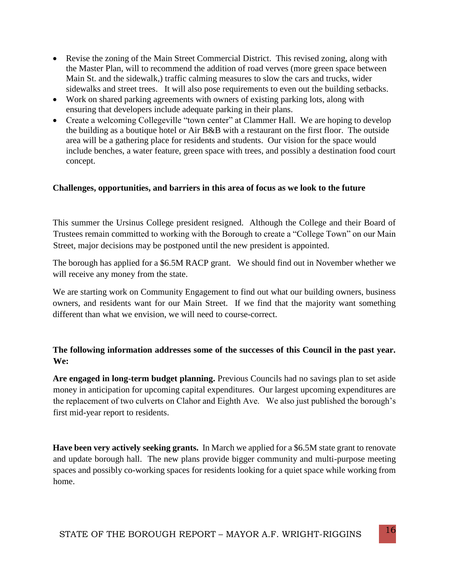- Revise the zoning of the Main Street Commercial District. This revised zoning, along with the Master Plan, will to recommend the addition of road verves (more green space between Main St. and the sidewalk,) traffic calming measures to slow the cars and trucks, wider sidewalks and street trees. It will also pose requirements to even out the building setbacks.
- Work on shared parking agreements with owners of existing parking lots, along with ensuring that developers include adequate parking in their plans.
- Create a welcoming Collegeville "town center" at Clammer Hall. We are hoping to develop the building as a boutique hotel or Air B&B with a restaurant on the first floor. The outside area will be a gathering place for residents and students. Our vision for the space would include benches, a water feature, green space with trees, and possibly a destination food court concept.

#### **Challenges, opportunities, and barriers in this area of focus as we look to the future**

This summer the Ursinus College president resigned. Although the College and their Board of Trustees remain committed to working with the Borough to create a "College Town" on our Main Street, major decisions may be postponed until the new president is appointed.

The borough has applied for a \$6.5M RACP grant. We should find out in November whether we will receive any money from the state.

We are starting work on Community Engagement to find out what our building owners, business owners, and residents want for our Main Street. If we find that the majority want something different than what we envision, we will need to course-correct.

#### **The following information addresses some of the successes of this Council in the past year. We:**

**Are engaged in long-term budget planning.** Previous Councils had no savings plan to set aside money in anticipation for upcoming capital expenditures. Our largest upcoming expenditures are the replacement of two culverts on Clahor and Eighth Ave. We also just published the borough's first mid-year report to residents.

**Have been very actively seeking grants.** In March we applied for a \$6.5M state grant to renovate and update borough hall. The new plans provide bigger community and multi-purpose meeting spaces and possibly co-working spaces for residents looking for a quiet space while working from home.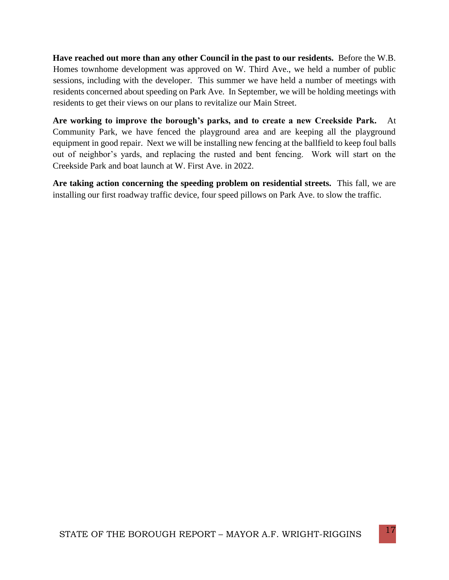**Have reached out more than any other Council in the past to our residents.** Before the W.B. Homes townhome development was approved on W. Third Ave., we held a number of public sessions, including with the developer. This summer we have held a number of meetings with residents concerned about speeding on Park Ave. In September, we will be holding meetings with residents to get their views on our plans to revitalize our Main Street.

**Are working to improve the borough's parks, and to create a new Creekside Park.** At Community Park, we have fenced the playground area and are keeping all the playground equipment in good repair. Next we will be installing new fencing at the ballfield to keep foul balls out of neighbor's yards, and replacing the rusted and bent fencing. Work will start on the Creekside Park and boat launch at W. First Ave. in 2022.

**Are taking action concerning the speeding problem on residential streets.** This fall, we are installing our first roadway traffic device, four speed pillows on Park Ave. to slow the traffic.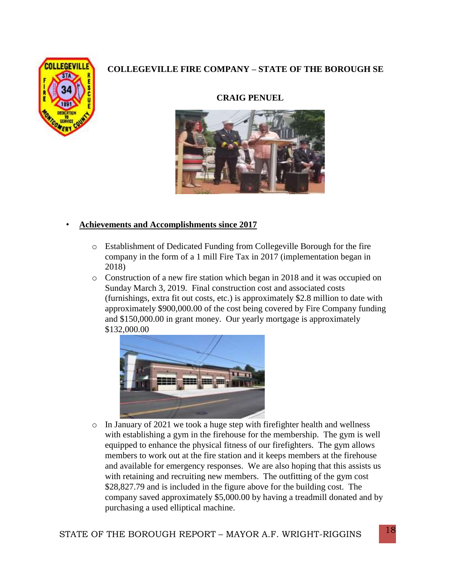# **COLLEGEVILLE FIRE COMPANY – STATE OF THE BOROUGH SE**



#### **CRAIG PENUEL**



#### • **Achievements and Accomplishments since 2017**

- o Establishment of Dedicated Funding from Collegeville Borough for the fire company in the form of a 1 mill Fire Tax in 2017 (implementation began in 2018)
- o Construction of a new fire station which began in 2018 and it was occupied on Sunday March 3, 2019. Final construction cost and associated costs (furnishings, extra fit out costs, etc.) is approximately \$2.8 million to date with approximately \$900,000.00 of the cost being covered by Fire Company funding and \$150,000.00 in grant money. Our yearly mortgage is approximately \$132,000.00



o In January of 2021 we took a huge step with firefighter health and wellness with establishing a gym in the firehouse for the membership. The gym is well equipped to enhance the physical fitness of our firefighters. The gym allows members to work out at the fire station and it keeps members at the firehouse and available for emergency responses. We are also hoping that this assists us with retaining and recruiting new members. The outfitting of the gym cost \$28,827.79 and is included in the figure above for the building cost. The company saved approximately \$5,000.00 by having a treadmill donated and by purchasing a used elliptical machine.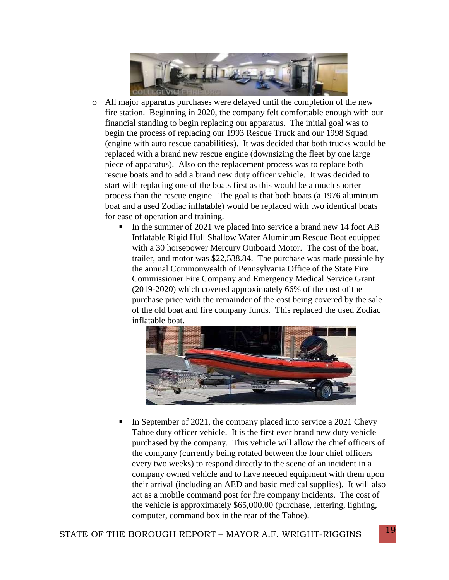

- o All major apparatus purchases were delayed until the completion of the new fire station. Beginning in 2020, the company felt comfortable enough with our financial standing to begin replacing our apparatus. The initial goal was to begin the process of replacing our 1993 Rescue Truck and our 1998 Squad (engine with auto rescue capabilities). It was decided that both trucks would be replaced with a brand new rescue engine (downsizing the fleet by one large piece of apparatus). Also on the replacement process was to replace both rescue boats and to add a brand new duty officer vehicle. It was decided to start with replacing one of the boats first as this would be a much shorter process than the rescue engine. The goal is that both boats (a 1976 aluminum boat and a used Zodiac inflatable) would be replaced with two identical boats for ease of operation and training.
	- In the summer of 2021 we placed into service a brand new 14 foot AB Inflatable Rigid Hull Shallow Water Aluminum Rescue Boat equipped with a 30 horsepower Mercury Outboard Motor. The cost of the boat, trailer, and motor was \$22,538.84. The purchase was made possible by the annual Commonwealth of Pennsylvania Office of the State Fire Commissioner Fire Company and Emergency Medical Service Grant (2019-2020) which covered approximately 66% of the cost of the purchase price with the remainder of the cost being covered by the sale of the old boat and fire company funds. This replaced the used Zodiac inflatable boat.



 In September of 2021, the company placed into service a 2021 Chevy Tahoe duty officer vehicle. It is the first ever brand new duty vehicle purchased by the company. This vehicle will allow the chief officers of the company (currently being rotated between the four chief officers every two weeks) to respond directly to the scene of an incident in a company owned vehicle and to have needed equipment with them upon their arrival (including an AED and basic medical supplies). It will also act as a mobile command post for fire company incidents. The cost of the vehicle is approximately \$65,000.00 (purchase, lettering, lighting, computer, command box in the rear of the Tahoe).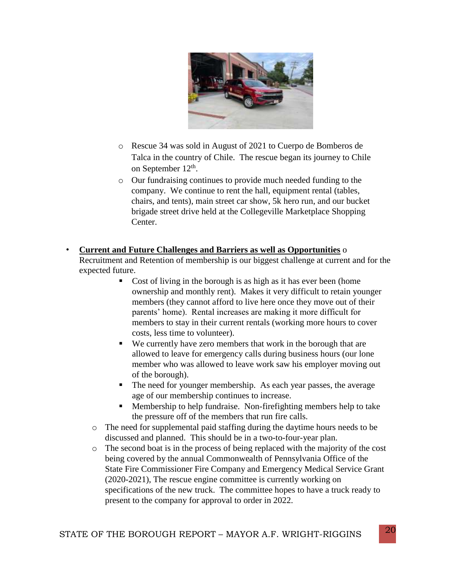

- o Rescue 34 was sold in August of 2021 to Cuerpo de Bomberos de Talca in the country of Chile. The rescue began its journey to Chile on September 12<sup>th</sup>.
- o Our fundraising continues to provide much needed funding to the company. We continue to rent the hall, equipment rental (tables, chairs, and tents), main street car show, 5k hero run, and our bucket brigade street drive held at the Collegeville Marketplace Shopping Center.

#### • **Current and Future Challenges and Barriers as well as Opportunities** o

Recruitment and Retention of membership is our biggest challenge at current and for the expected future.

- Cost of living in the borough is as high as it has ever been (home ownership and monthly rent). Makes it very difficult to retain younger members (they cannot afford to live here once they move out of their parents' home). Rental increases are making it more difficult for members to stay in their current rentals (working more hours to cover costs, less time to volunteer).
- We currently have zero members that work in the borough that are allowed to leave for emergency calls during business hours (our lone member who was allowed to leave work saw his employer moving out of the borough).
- The need for younger membership. As each year passes, the average age of our membership continues to increase.
- Membership to help fundraise. Non-firefighting members help to take the pressure off of the members that run fire calls.
- o The need for supplemental paid staffing during the daytime hours needs to be discussed and planned. This should be in a two-to-four-year plan.
- $\circ$  The second boat is in the process of being replaced with the majority of the cost being covered by the annual Commonwealth of Pennsylvania Office of the State Fire Commissioner Fire Company and Emergency Medical Service Grant (2020-2021), The rescue engine committee is currently working on specifications of the new truck. The committee hopes to have a truck ready to present to the company for approval to order in 2022.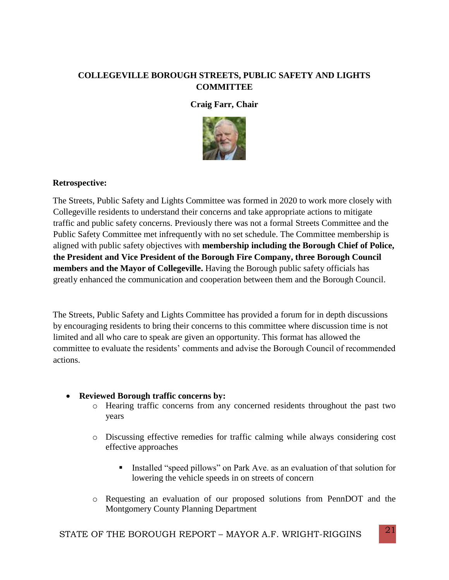### **COLLEGEVILLE BOROUGH STREETS, PUBLIC SAFETY AND LIGHTS COMMITTEE**

#### **Craig Farr, Chair**



#### **Retrospective:**

The Streets, Public Safety and Lights Committee was formed in 2020 to work more closely with Collegeville residents to understand their concerns and take appropriate actions to mitigate traffic and public safety concerns. Previously there was not a formal Streets Committee and the Public Safety Committee met infrequently with no set schedule. The Committee membership is aligned with public safety objectives with **membership including the Borough Chief of Police, the President and Vice President of the Borough Fire Company, three Borough Council members and the Mayor of Collegeville.** Having the Borough public safety officials has greatly enhanced the communication and cooperation between them and the Borough Council.

The Streets, Public Safety and Lights Committee has provided a forum for in depth discussions by encouraging residents to bring their concerns to this committee where discussion time is not limited and all who care to speak are given an opportunity. This format has allowed the committee to evaluate the residents' comments and advise the Borough Council of recommended actions.

#### **Reviewed Borough traffic concerns by:**

- o Hearing traffic concerns from any concerned residents throughout the past two years
- o Discussing effective remedies for traffic calming while always considering cost effective approaches
	- Installed "speed pillows" on Park Ave. as an evaluation of that solution for lowering the vehicle speeds in on streets of concern
- o Requesting an evaluation of our proposed solutions from PennDOT and the Montgomery County Planning Department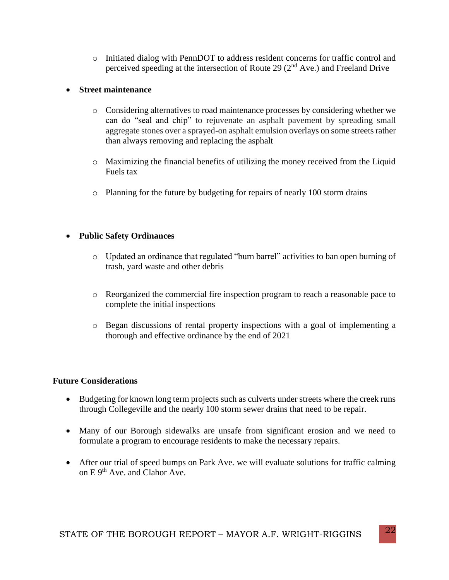o Initiated dialog with PennDOT to address resident concerns for traffic control and perceived speeding at the intersection of Route 29 (2nd Ave.) and Freeland Drive

#### **Street maintenance**

- o Considering alternatives to road maintenance processes by considering whether we can do "seal and chip" to rejuvenate an asphalt pavement by spreading small aggregate stones over a sprayed-on asphalt emulsion overlays on some streets rather than always removing and replacing the asphalt
- $\circ$  Maximizing the financial benefits of utilizing the money received from the Liquid Fuels tax
- o Planning for the future by budgeting for repairs of nearly 100 storm drains

#### **Public Safety Ordinances**

- o Updated an ordinance that regulated "burn barrel" activities to ban open burning of trash, yard waste and other debris
- o Reorganized the commercial fire inspection program to reach a reasonable pace to complete the initial inspections
- o Began discussions of rental property inspections with a goal of implementing a thorough and effective ordinance by the end of 2021

#### **Future Considerations**

- Budgeting for known long term projects such as culverts under streets where the creek runs through Collegeville and the nearly 100 storm sewer drains that need to be repair.
- Many of our Borough sidewalks are unsafe from significant erosion and we need to formulate a program to encourage residents to make the necessary repairs.
- After our trial of speed bumps on Park Ave. we will evaluate solutions for traffic calming on E 9<sup>th</sup> Ave. and Clahor Ave.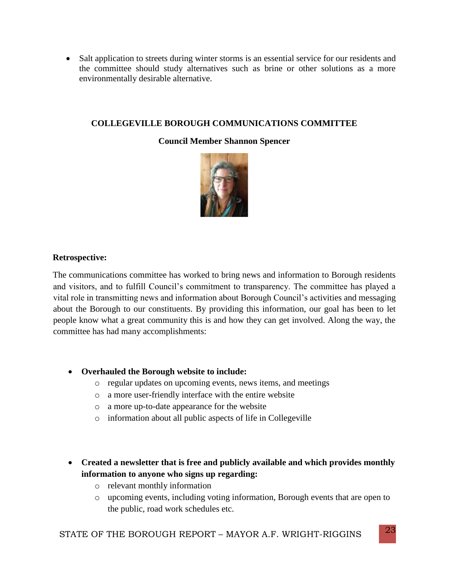• Salt application to streets during winter storms is an essential service for our residents and the committee should study alternatives such as brine or other solutions as a more environmentally desirable alternative.

#### **COLLEGEVILLE BOROUGH COMMUNICATIONS COMMITTEE**

#### **Council Member Shannon Spencer**



#### **Retrospective:**

The communications committee has worked to bring news and information to Borough residents and visitors, and to fulfill Council's commitment to transparency. The committee has played a vital role in transmitting news and information about Borough Council's activities and messaging about the Borough to our constituents. By providing this information, our goal has been to let people know what a great community this is and how they can get involved. Along the way, the committee has had many accomplishments:

#### **Overhauled the Borough website to include:**

- o regular updates on upcoming events, news items, and meetings
- o a more user-friendly interface with the entire website
- o a more up-to-date appearance for the website
- o information about all public aspects of life in Collegeville
- **Created a newsletter that is free and publicly available and which provides monthly information to anyone who signs up regarding:**
	- o relevant monthly information
	- o upcoming events, including voting information, Borough events that are open to the public, road work schedules etc.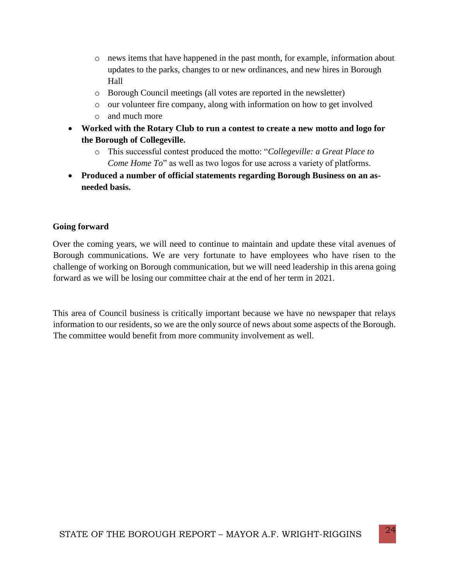- o news items that have happened in the past month, for example, information about updates to the parks, changes to or new ordinances, and new hires in Borough Hall
- o Borough Council meetings (all votes are reported in the newsletter)
- o our volunteer fire company, along with information on how to get involved
- o and much more
- **Worked with the Rotary Club to run a contest to create a new motto and logo for the Borough of Collegeville.** 
	- o This successful contest produced the motto: "*Collegeville: a Great Place to Come Home To*" as well as two logos for use across a variety of platforms.
- **Produced a number of official statements regarding Borough Business on an asneeded basis.**

#### **Going forward**

Over the coming years, we will need to continue to maintain and update these vital avenues of Borough communications. We are very fortunate to have employees who have risen to the challenge of working on Borough communication, but we will need leadership in this arena going forward as we will be losing our committee chair at the end of her term in 2021.

This area of Council business is critically important because we have no newspaper that relays information to our residents, so we are the only source of news about some aspects of the Borough. The committee would benefit from more community involvement as well.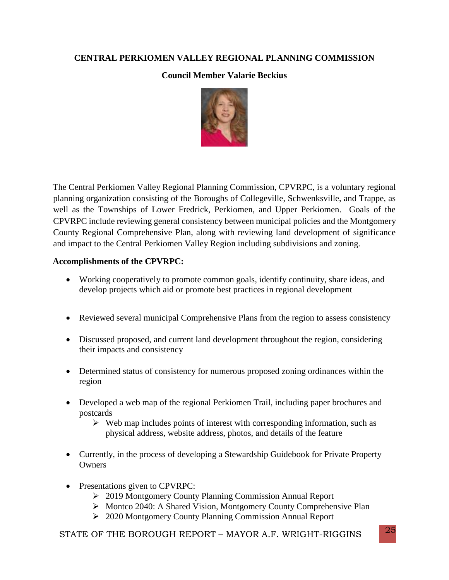#### **CENTRAL PERKIOMEN VALLEY REGIONAL PLANNING COMMISSION**

#### **Council Member Valarie Beckius**



The Central Perkiomen Valley Regional Planning Commission, CPVRPC, is a voluntary regional planning organization consisting of the Boroughs of Collegeville, Schwenksville, and Trappe, as well as the Townships of Lower Fredrick, Perkiomen, and Upper Perkiomen. Goals of the CPVRPC include reviewing general consistency between municipal policies and the Montgomery County Regional Comprehensive Plan, along with reviewing land development of significance and impact to the Central Perkiomen Valley Region including subdivisions and zoning.

#### **Accomplishments of the CPVRPC:**

- Working cooperatively to promote common goals, identify continuity, share ideas, and develop projects which aid or promote best practices in regional development
- Reviewed several municipal Comprehensive Plans from the region to assess consistency
- Discussed proposed, and current land development throughout the region, considering their impacts and consistency
- Determined status of consistency for numerous proposed zoning ordinances within the region
- Developed a web map of the regional Perkiomen Trail, including paper brochures and postcards
	- $\triangleright$  Web map includes points of interest with corresponding information, such as physical address, website address, photos, and details of the feature
- Currently, in the process of developing a Stewardship Guidebook for Private Property **Owners**
- Presentations given to CPVRPC:
	- 2019 Montgomery County Planning Commission Annual Report
	- ▶ Montco 2040: A Shared Vision, Montgomery County Comprehensive Plan
	- 2020 Montgomery County Planning Commission Annual Report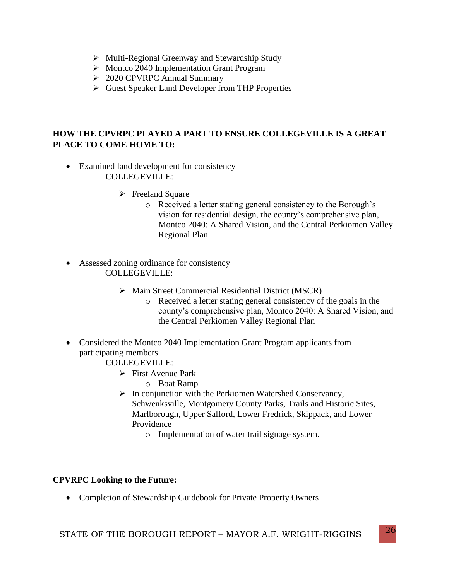- $\triangleright$  Multi-Regional Greenway and Stewardship Study
- ▶ Montco 2040 Implementation Grant Program
- 2020 CPVRPC Annual Summary
- Guest Speaker Land Developer from THP Properties

#### **HOW THE CPVRPC PLAYED A PART TO ENSURE COLLEGEVILLE IS A GREAT PLACE TO COME HOME TO:**

- Examined land development for consistency COLLEGEVILLE:
	- $\triangleright$  Freeland Square
		- o Received a letter stating general consistency to the Borough's vision for residential design, the county's comprehensive plan, Montco 2040: A Shared Vision, and the Central Perkiomen Valley Regional Plan
- Assessed zoning ordinance for consistency COLLEGEVILLE:
	- $\triangleright$  Main Street Commercial Residential District (MSCR)
		- o Received a letter stating general consistency of the goals in the county's comprehensive plan, Montco 2040: A Shared Vision, and the Central Perkiomen Valley Regional Plan
- Considered the Montco 2040 Implementation Grant Program applicants from participating members
	- COLLEGEVILLE:
		- $\triangleright$  First Avenue Park
			- o Boat Ramp
		- $\triangleright$  In conjunction with the Perkiomen Watershed Conservancy, Schwenksville, Montgomery County Parks, Trails and Historic Sites, Marlborough, Upper Salford, Lower Fredrick, Skippack, and Lower Providence
			- o Implementation of water trail signage system.

#### **CPVRPC Looking to the Future:**

• Completion of Stewardship Guidebook for Private Property Owners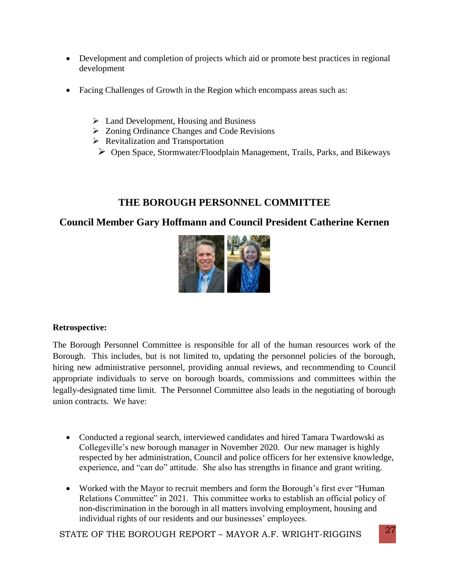- Development and completion of projects which aid or promote best practices in regional development
- Facing Challenges of Growth in the Region which encompass areas such as:
	- $\triangleright$  Land Development, Housing and Business
	- Zoning Ordinance Changes and Code Revisions
	- $\triangleright$  Revitalization and Transportation
	- Open Space, Stormwater/Floodplain Management, Trails, Parks, and Bikeways

# **THE BOROUGH PERSONNEL COMMITTEE**

# **Council Member Gary Hoffmann and Council President Catherine Kernen**



## **Retrospective:**

The Borough Personnel Committee is responsible for all of the human resources work of the Borough. This includes, but is not limited to, updating the personnel policies of the borough, hiring new administrative personnel, providing annual reviews, and recommending to Council appropriate individuals to serve on borough boards, commissions and committees within the legally-designated time limit. The Personnel Committee also leads in the negotiating of borough union contracts. We have:

- Conducted a regional search, interviewed candidates and hired Tamara Twardowski as Collegeville's new borough manager in November 2020. Our new manager is highly respected by her administration, Council and police officers for her extensive knowledge, experience, and "can do" attitude. She also has strengths in finance and grant writing.
- Worked with the Mayor to recruit members and form the Borough's first ever "Human Relations Committee" in 2021. This committee works to establish an official policy of non-discrimination in the borough in all matters involving employment, housing and individual rights of our residents and our businesses' employees.

STATE OF THE BOROUGH REPORT – MAYOR A.F. WRIGHT-RIGGINS  $\begin{bmatrix} 27 \end{bmatrix}$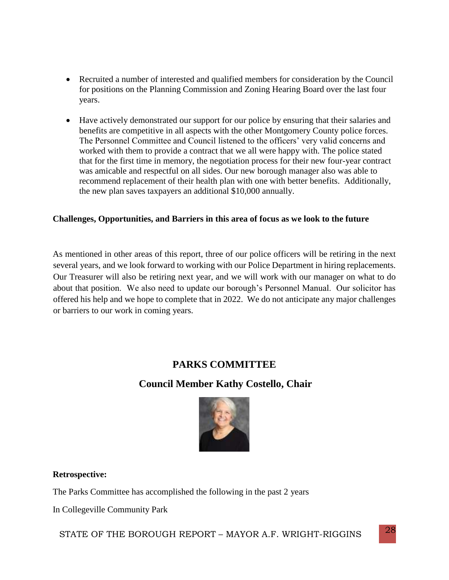- Recruited a number of interested and qualified members for consideration by the Council for positions on the Planning Commission and Zoning Hearing Board over the last four years.
- Have actively demonstrated our support for our police by ensuring that their salaries and benefits are competitive in all aspects with the other Montgomery County police forces. The Personnel Committee and Council listened to the officers' very valid concerns and worked with them to provide a contract that we all were happy with. The police stated that for the first time in memory, the negotiation process for their new four-year contract was amicable and respectful on all sides. Our new borough manager also was able to recommend replacement of their health plan with one with better benefits. Additionally, the new plan saves taxpayers an additional \$10,000 annually.

#### **Challenges, Opportunities, and Barriers in this area of focus as we look to the future**

As mentioned in other areas of this report, three of our police officers will be retiring in the next several years, and we look forward to working with our Police Department in hiring replacements. Our Treasurer will also be retiring next year, and we will work with our manager on what to do about that position. We also need to update our borough's Personnel Manual. Our solicitor has offered his help and we hope to complete that in 2022. We do not anticipate any major challenges or barriers to our work in coming years.

# **PARKS COMMITTEE**

# **Council Member Kathy Costello, Chair**



#### **Retrospective:**

The Parks Committee has accomplished the following in the past 2 years

In Collegeville Community Park

STATE OF THE BOROUGH REPORT – MAYOR A.F. WRIGHT-RIGGINS  $^{28}$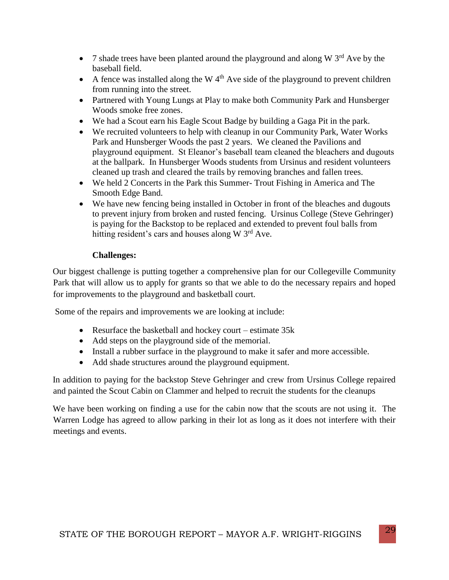- 7 shade trees have been planted around the playground and along W  $3<sup>rd</sup>$  Ave by the baseball field.
- A fence was installed along the W  $4<sup>th</sup>$  Ave side of the playground to prevent children from running into the street.
- Partnered with Young Lungs at Play to make both Community Park and Hunsberger Woods smoke free zones.
- We had a Scout earn his Eagle Scout Badge by building a Gaga Pit in the park.
- We recruited volunteers to help with cleanup in our Community Park, Water Works Park and Hunsberger Woods the past 2 years. We cleaned the Pavilions and playground equipment. St Eleanor's baseball team cleaned the bleachers and dugouts at the ballpark. In Hunsberger Woods students from Ursinus and resident volunteers cleaned up trash and cleared the trails by removing branches and fallen trees.
- We held 2 Concerts in the Park this Summer- Trout Fishing in America and The Smooth Edge Band.
- We have new fencing being installed in October in front of the bleaches and dugouts to prevent injury from broken and rusted fencing. Ursinus College (Steve Gehringer) is paying for the Backstop to be replaced and extended to prevent foul balls from hitting resident's cars and houses along W 3<sup>rd</sup> Ave.

#### **Challenges:**

Our biggest challenge is putting together a comprehensive plan for our Collegeville Community Park that will allow us to apply for grants so that we able to do the necessary repairs and hoped for improvements to the playground and basketball court.

Some of the repairs and improvements we are looking at include:

- Resurface the basketball and hockey court estimate 35k
- Add steps on the playground side of the memorial.
- Install a rubber surface in the playground to make it safer and more accessible.
- Add shade structures around the playground equipment.

In addition to paying for the backstop Steve Gehringer and crew from Ursinus College repaired and painted the Scout Cabin on Clammer and helped to recruit the students for the cleanups

We have been working on finding a use for the cabin now that the scouts are not using it. The Warren Lodge has agreed to allow parking in their lot as long as it does not interfere with their meetings and events.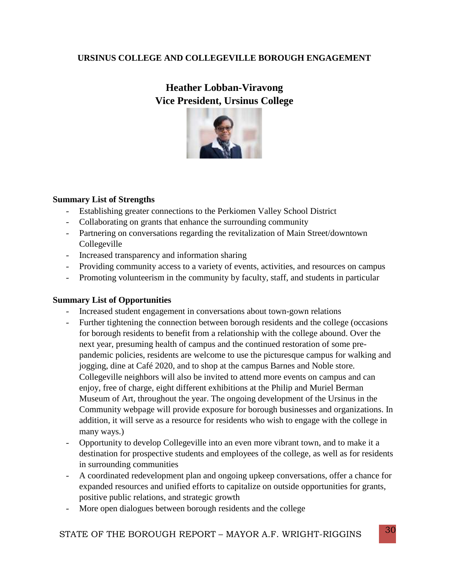### **URSINUS COLLEGE AND COLLEGEVILLE BOROUGH ENGAGEMENT**

# **Heather Lobban-Viravong Vice President, Ursinus College**



#### **Summary List of Strengths**

- Establishing greater connections to the Perkiomen Valley School District
- Collaborating on grants that enhance the surrounding community
- Partnering on conversations regarding the revitalization of Main Street/downtown Collegeville
- Increased transparency and information sharing
- Providing community access to a variety of events, activities, and resources on campus
- Promoting volunteerism in the community by faculty, staff, and students in particular

#### **Summary List of Opportunities**

- Increased student engagement in conversations about town-gown relations
- Further tightening the connection between borough residents and the college (occasions for borough residents to benefit from a relationship with the college abound. Over the next year, presuming health of campus and the continued restoration of some prepandemic policies, residents are welcome to use the picturesque campus for walking and jogging, dine at Café 2020, and to shop at the campus Barnes and Noble store. Collegeville neighbors will also be invited to attend more events on campus and can enjoy, free of charge, eight different exhibitions at the Philip and Muriel Berman Museum of Art, throughout the year. The ongoing development of the Ursinus in the Community webpage will provide exposure for borough businesses and organizations. In addition, it will serve as a resource for residents who wish to engage with the college in many ways.)
- Opportunity to develop Collegeville into an even more vibrant town, and to make it a destination for prospective students and employees of the college, as well as for residents in surrounding communities
- A coordinated redevelopment plan and ongoing upkeep conversations, offer a chance for expanded resources and unified efforts to capitalize on outside opportunities for grants, positive public relations, and strategic growth
- More open dialogues between borough residents and the college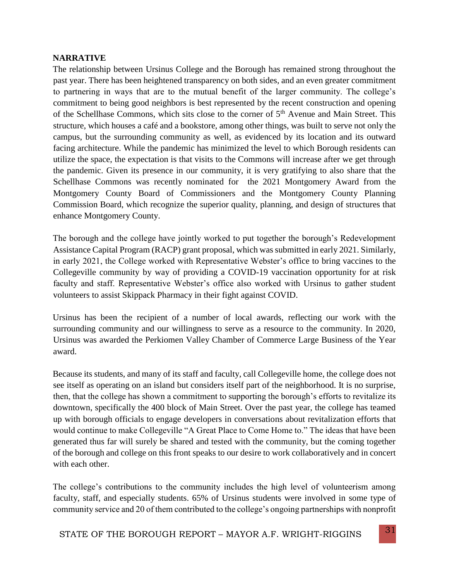#### **NARRATIVE**

The relationship between Ursinus College and the Borough has remained strong throughout the past year. There has been heightened transparency on both sides, and an even greater commitment to partnering in ways that are to the mutual benefit of the larger community. The college's commitment to being good neighbors is best represented by the recent construction and opening of the Schellhase Commons, which sits close to the corner of  $5<sup>th</sup>$  Avenue and Main Street. This structure, which houses a café and a bookstore, among other things, was built to serve not only the campus, but the surrounding community as well, as evidenced by its location and its outward facing architecture. While the pandemic has minimized the level to which Borough residents can utilize the space, the expectation is that visits to the Commons will increase after we get through the pandemic. Given its presence in our community, it is very gratifying to also share that the Schellhase Commons was recently nominated for the 2021 Montgomery Award from the Montgomery County Board of Commissioners and the Montgomery County Planning Commission Board, which recognize the superior quality, planning, and design of structures that enhance Montgomery County.

The borough and the college have jointly worked to put together the borough's Redevelopment Assistance Capital Program (RACP) grant proposal, which was submitted in early 2021. Similarly, in early 2021, the College worked with Representative Webster's office to bring vaccines to the Collegeville community by way of providing a COVID-19 vaccination opportunity for at risk faculty and staff. Representative Webster's office also worked with Ursinus to gather student volunteers to assist Skippack Pharmacy in their fight against COVID.

Ursinus has been the recipient of a number of local awards, reflecting our work with the surrounding community and our willingness to serve as a resource to the community. In 2020, Ursinus was awarded the Perkiomen Valley Chamber of Commerce Large Business of the Year award.

Because its students, and many of its staff and faculty, call Collegeville home, the college does not see itself as operating on an island but considers itself part of the neighborhood. It is no surprise, then, that the college has shown a commitment to supporting the borough's efforts to revitalize its downtown, specifically the 400 block of Main Street. Over the past year, the college has teamed up with borough officials to engage developers in conversations about revitalization efforts that would continue to make Collegeville "A Great Place to Come Home to." The ideas that have been generated thus far will surely be shared and tested with the community, but the coming together of the borough and college on this front speaks to our desire to work collaboratively and in concert with each other.

The college's contributions to the community includes the high level of volunteerism among faculty, staff, and especially students. 65% of Ursinus students were involved in some type of community service and 20 of them contributed to the college's ongoing partnerships with nonprofit